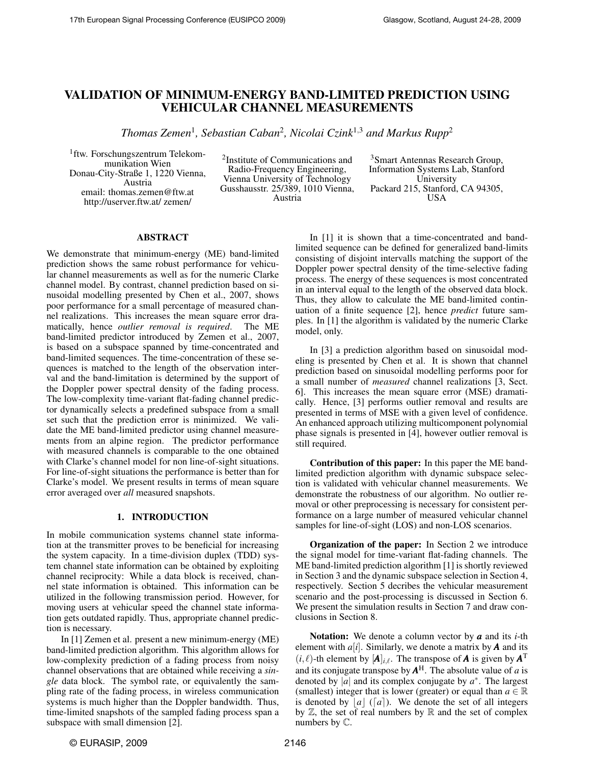# VALIDATION OF MINIMUM-ENERGY BAND-LIMITED PREDICTION USING VEHICULAR CHANNEL MEASUREMENTS

*Thomas Zemen*<sup>1</sup> *, Sebastian Caban*<sup>2</sup> *, Nicolai Czink*<sup>1</sup>,<sup>3</sup> *and Markus Rupp*<sup>2</sup>

<sup>1</sup>ftw. Forschungszentrum Telekommunikation Wien Donau-City-Straße 1, 1220 Vienna, Austria email: thomas.zemen@ftw.at http://userver.ftw.at/ zemen/

<sup>2</sup>Institute of Communications and Radio-Frequency Engineering, Vienna University of Technology Gusshausstr. 25/389, 1010 Vienna, Austria

<sup>3</sup>Smart Antennas Research Group, Information Systems Lab, Stanford University Packard 215, Stanford, CA 94305, USA

#### ABSTRACT

We demonstrate that minimum-energy (ME) band-limited prediction shows the same robust performance for vehicular channel measurements as well as for the numeric Clarke channel model. By contrast, channel prediction based on sinusoidal modelling presented by Chen et al., 2007, shows poor performance for a small percentage of measured channel realizations. This increases the mean square error dramatically, hence *outlier removal is required*. The ME band-limited predictor introduced by Zemen et al., 2007, is based on a subspace spanned by time-concentrated and band-limited sequences. The time-concentration of these sequences is matched to the length of the observation interval and the band-limitation is determined by the support of the Doppler power spectral density of the fading process. The low-complexity time-variant flat-fading channel predictor dynamically selects a predefined subspace from a small set such that the prediction error is minimized. We validate the ME band-limited predictor using channel measurements from an alpine region. The predictor performance with measured channels is comparable to the one obtained with Clarke's channel model for non line-of-sight situations. For line-of-sight situations the performance is better than for Clarke's model. We present results in terms of mean square error averaged over *all* measured snapshots.

#### 1. INTRODUCTION

In mobile communication systems channel state information at the transmitter proves to be beneficial for increasing the system capacity. In a time-division duplex (TDD) system channel state information can be obtained by exploiting channel reciprocity: While a data block is received, channel state information is obtained. This information can be utilized in the following transmission period. However, for moving users at vehicular speed the channel state information gets outdated rapidly. Thus, appropriate channel prediction is necessary.

In [1] Zemen et al. present a new minimum-energy (ME) band-limited prediction algorithm. This algorithm allows for low-complexity prediction of a fading process from noisy channel observations that are obtained while receiving a *single* data block. The symbol rate, or equivalently the sampling rate of the fading process, in wireless communication systems is much higher than the Doppler bandwidth. Thus, time-limited snapshots of the sampled fading process span a subspace with small dimension [2].

In [1] it is shown that a time-concentrated and bandlimited sequence can be defined for generalized band-limits consisting of disjoint intervalls matching the support of the Doppler power spectral density of the time-selective fading process. The energy of these sequences is most concentrated in an interval equal to the length of the observed data block. Thus, they allow to calculate the ME band-limited continuation of a finite sequence [2], hence *predict* future samples. In [1] the algorithm is validated by the numeric Clarke model, only.

In [3] a prediction algorithm based on sinusoidal modeling is presented by Chen et al. It is shown that channel prediction based on sinusoidal modelling performs poor for a small number of *measured* channel realizations [3, Sect. 6]. This increases the mean square error (MSE) dramatically. Hence, [3] performs outlier removal and results are presented in terms of MSE with a given level of confidence. An enhanced approach utilizing multicomponent polynomial phase signals is presented in [4], however outlier removal is still required.

Contribution of this paper: In this paper the ME bandlimited prediction algorithm with dynamic subspace selection is validated with vehicular channel measurements. We demonstrate the robustness of our algorithm. No outlier removal or other preprocessing is necessary for consistent performance on a large number of measured vehicular channel samples for line-of-sight (LOS) and non-LOS scenarios.

Organization of the paper: In Section 2 we introduce the signal model for time-variant flat-fading channels. The ME band-limited prediction algorithm [1] is shortly reviewed in Section 3 and the dynamic subspace selection in Section 4, respectively. Section 5 decribes the vehicular measurement scenario and the post-processing is discussed in Section 6. We present the simulation results in Section 7 and draw conclusions in Section 8.

Notation: We denote a column vector by *a* and its *i*-th element with  $a[i]$ . Similarly, we denote a matrix by **A** and its  $(i, \ell)$ -th element by  $[\mathbf{A}]_{i, \ell}$ . The transpose of *A* is given by  $\mathbf{A}^T$ and its conjugate transpose by *A* <sup>H</sup>. The absolute value of *a* is denoted by  $|\vec{a}|$  and its complex conjugate by  $a^*$ . The largest (smallest) integer that is lower (greater) or equal than  $a \in \mathbb{R}$ is denoted by  $|a|$  ([a]). We denote the set of all integers by  $\mathbb Z$ , the set of real numbers by  $\mathbb R$  and the set of complex numbers by C.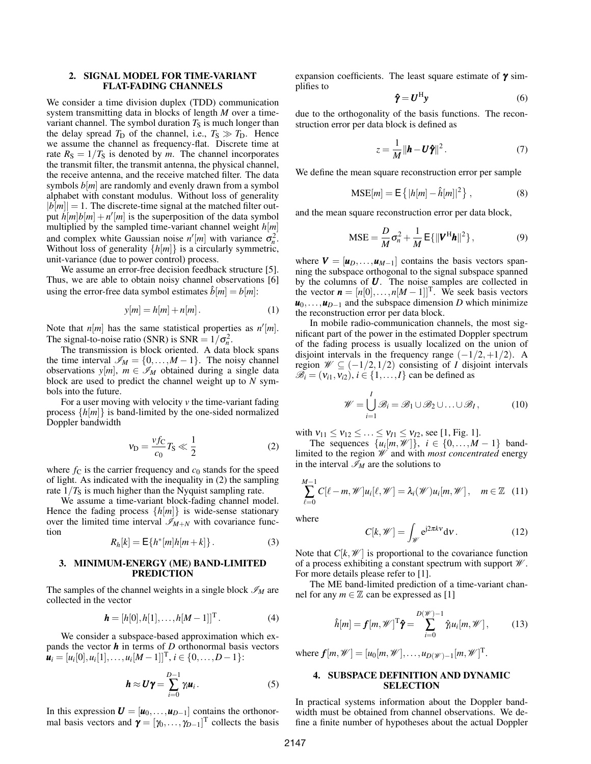#### 2. SIGNAL MODEL FOR TIME-VARIANT FLAT-FADING CHANNELS

We consider a time division duplex (TDD) communication system transmitting data in blocks of length *M* over a timevariant channel. The symbol duration  $T<sub>S</sub>$  is much longer than the delay spread  $T_D$  of the channel, i.e.,  $T_S \gg T_D$ . Hence we assume the channel as frequency-flat. Discrete time at rate  $R_S = 1/T_S$  is denoted by *m*. The channel incorporates the transmit filter, the transmit antenna, the physical channel, the receive antenna, and the receive matched filter. The data symbols  $b[m]$  are randomly and evenly drawn from a symbol alphabet with constant modulus. Without loss of generality  $|b[m]| = 1$ . The discrete-time signal at the matched filter output  $\hat{h}[m]b[m]+n'[m]$  is the superposition of the data symbol multiplied by the sampled time-variant channel weight *h*[*m*] and complex white Gaussian noise  $n'[m]$  with variance  $\sigma_n^2$ . Without loss of generality {*h*[*m*]} is a circularly symmetric, unit-variance (due to power control) process.

We assume an error-free decision feedback structure [5]. Thus, we are able to obtain noisy channel observations [6] using the error-free data symbol estimates  $\hat{b}[m] = b[m]$ :

$$
y[m] = h[m] + n[m]. \tag{1}
$$

Note that  $n[m]$  has the same statistical properties as  $n'[m]$ . The signal-to-noise ratio (SNR) is  $SNR = 1/\sigma_n^2$ .

The transmission is block oriented. A data block spans the time interval  $\mathscr{I}_M = \{0, \ldots, M-1\}$ . The noisy channel observations  $y[m]$ ,  $m \in \mathcal{I}_M$  obtained during a single data block are used to predict the channel weight up to *N* symbols into the future.

For a user moving with velocity *v* the time-variant fading process {*h*[*m*]} is band-limited by the one-sided normalized Doppler bandwidth

$$
v_{\rm D} = \frac{vfc}{c_0} T_{\rm S} \ll \frac{1}{2} \tag{2}
$$

where  $f_C$  is the carrier frequency and  $c_0$  stands for the speed of light. As indicated with the inequality in (2) the sampling rate  $1/T<sub>S</sub>$  is much higher than the Nyquist sampling rate.

We assume a time-variant block-fading channel model. Hence the fading process  $\{h[m]\}$  is wide-sense stationary over the limited time interval  $\mathscr{I}_{M+N}$  with covariance function

$$
R_h[k] = \mathsf{E}\{h^*[m]h[m+k]\}.
$$
 (3)

#### 3. MINIMUM-ENERGY (ME) BAND-LIMITED **PREDICTION**

The samples of the channel weights in a single block  $\mathcal{I}_M$  are collected in the vector

$$
\mathbf{h} = [h[0], h[1], \dots, h[M-1]]^{\mathrm{T}}.
$$
 (4)

We consider a subspace-based approximation which expands the vector  $h$  in terms of *D* orthonormal basis vectors  $\mathbf{u}_i = [u_i[0], u_i[1], \dots, u_i[M-1]]^{\mathrm{T}}, i \in \{0, \dots, D-1\}$ :

$$
\mathbf{h} \approx \mathbf{U}\mathbf{\gamma} = \sum_{i=0}^{D-1} \gamma_i \mathbf{u}_i.
$$
 (5)

In this expression  $U = [u_0, \ldots, u_{D-1}]$  contains the orthonormal basis vectors and  $\boldsymbol{\gamma} = [\gamma_0, \dots, \gamma_{D-1}]^T$  collects the basis expansion coefficients. The least square estimate of  $\gamma$  simplifies to

$$
\hat{\pmb{\gamma}} = \pmb{U}^{\rm H} \pmb{y} \tag{6}
$$

due to the orthogonality of the basis functions. The reconstruction error per data block is defined as

$$
z = \frac{1}{M} ||\boldsymbol{h} - \boldsymbol{U}\boldsymbol{\hat{\gamma}}||^2. \tag{7}
$$

We define the mean square reconstruction error per sample

$$
MSE[m] = E\left\{|h[m] - \hat{h}[m]|^2\right\},\qquad(8)
$$

and the mean square reconstruction error per data block,

$$
\text{MSE} = \frac{D}{M}\sigma_n^2 + \frac{1}{M} \mathsf{E}\{\|\mathbf{V}^{\text{H}}\mathbf{h}\|^2\},\tag{9}
$$

where  $V = [u_D, \dots, u_{M-1}]$  contains the basis vectors spanning the subspace orthogonal to the signal subspace spanned by the columns of *U*. The noise samples are collected in the vector  $\mathbf{n} = [n[0], \dots, n[M-1]]^{\mathrm{T}}$ . We seek basis vectors  $u_0, \ldots, u_{D-1}$  and the subspace dimension *D* which minimize the reconstruction error per data block.

In mobile radio-communication channels, the most significant part of the power in the estimated Doppler spectrum of the fading process is usually localized on the union of disjoint intervals in the frequency range  $(-1/2, +1/2)$ . A region  $\mathscr{W} \subseteq (-1/2, 1/2)$  consisting of *I* disjoint intervals  $\mathscr{B}_i = (v_{i1}, v_{i2}), i \in \{1, \ldots, I\}$  can be defined as

$$
\mathscr{W} = \bigcup_{i=1}^{I} \mathscr{B}_i = \mathscr{B}_1 \cup \mathscr{B}_2 \cup \ldots \cup \mathscr{B}_I, \tag{10}
$$

with  $v_{11} \le v_{12} \le ... \le v_{I1} \le v_{I2}$ , see [1, Fig. 1].

The sequences  $\{u_i[m, \mathcal{W}]\}, i \in \{0, \ldots, M-1\}$  bandlimited to the region W and with *most concentrated* energy in the interval  $\mathcal{I}_M$  are the solutions to

$$
\sum_{\ell=0}^{M-1} C[\ell-m, \mathscr{W}]u_i[\ell, \mathscr{W}] = \lambda_i(\mathscr{W})u_i[m, \mathscr{W}], \quad m \in \mathbb{Z} \quad (11)
$$

where

$$
C[k, \mathscr{W}] = \int_{\mathscr{W}} e^{j2\pi kv} dv.
$$
 (12)

Note that  $C[k, \mathcal{W}]$  is proportional to the covariance function of a process exhibiting a constant spectrum with support  $\mathcal W$ . For more details please refer to [1].

The ME band-limited prediction of a time-variant channel for any  $m \in \mathbb{Z}$  can be expressed as [1]

$$
\hat{h}[m] = \boldsymbol{f}[m, \mathscr{W}]^{\mathrm{T}} \boldsymbol{\hat{\gamma}} = \sum_{i=0}^{D(\mathscr{W})-1} \hat{\gamma}_i u_i[m, \mathscr{W}], \qquad (13)
$$

where  $f[m, W] = [u_0[m, W], \dots, u_{D(W)-1}[m, W]^T$ .

### 4. SUBSPACE DEFINITION AND DYNAMIC **SELECTION**

In practical systems information about the Doppler bandwidth must be obtained from channel observations. We define a finite number of hypotheses about the actual Doppler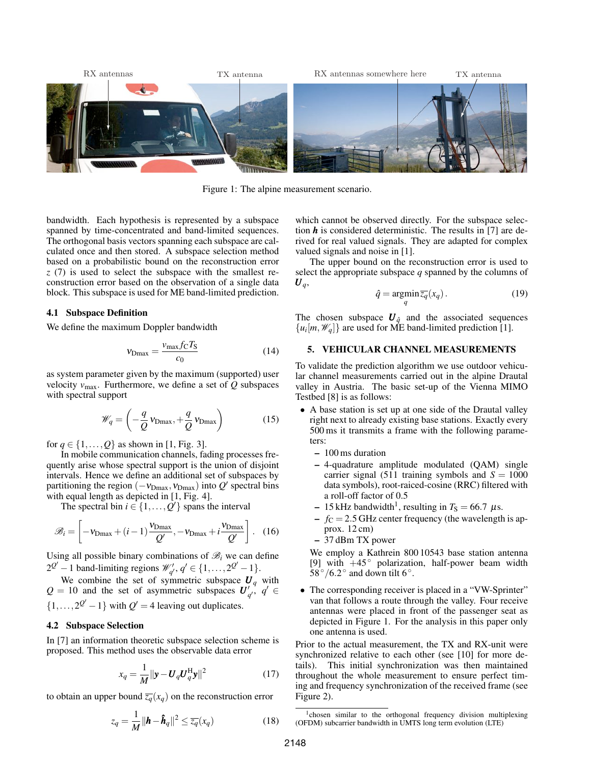

Figure 1: The alpine measurement scenario.

bandwidth. Each hypothesis is represented by a subspace spanned by time-concentrated and band-limited sequences. The orthogonal basis vectors spanning each subspace are calculated once and then stored. A subspace selection method based on a probabilistic bound on the reconstruction error *z* (7) is used to select the subspace with the smallest reconstruction error based on the observation of a single data block. This subspace is used for ME band-limited prediction.

#### 4.1 Subspace Definition

We define the maximum Doppler bandwidth

$$
v_{\text{Dmax}} = \frac{v_{\text{max}} f_{\text{C}} T_{\text{S}}}{c_0} \tag{14}
$$

as system parameter given by the maximum (supported) user velocity  $v_{\text{max}}$ . Furthermore, we define a set of  $Q$  subspaces with spectral support

$$
\mathscr{W}_q = \left(-\frac{q}{Q} \,\mathbf{v}_{\text{Dmax}}, +\frac{q}{Q} \,\mathbf{v}_{\text{Dmax}}\right) \tag{15}
$$

for  $q \in \{1, ..., Q\}$  as shown in [1, Fig. 3].

In mobile communication channels, fading processes frequently arise whose spectral support is the union of disjoint intervals. Hence we define an additional set of subspaces by partitioning the region  $(-v_{Dmax}, v_{Dmax})$  into  $Q'$  spectral bins with equal length as depicted in [1, Fig. 4].

The spectral bin  $i \in \{1, \ldots, Q'\}$  spans the interval

$$
\mathcal{B}_{i} = \left[ -v_{\text{Dmax}} + (i-1)\frac{v_{\text{Dmax}}}{Q'}, -v_{\text{Dmax}} + i\frac{v_{\text{Dmax}}}{Q'} \right].
$$
 (16)

Using all possible binary combinations of  $\mathcal{B}_i$  we can define  $2^{Q'} - 1$  band-limiting regions  $\mathcal{W}'_{q'}$ ,  $q' \in \{1, ..., 2^{Q'} - 1\}.$ 

We combine the set of symmetric subspace  $\boldsymbol{U}_q$  with  $Q = 10$  and the set of asymmetric subspaces  $U'_{q'}$ ,  $q' \in$  $\{1,\ldots,2^{Q'}-1\}$  with  $Q' = 4$  leaving out duplicates.

#### 4.2 Subspace Selection

In [7] an information theoretic subspace selection scheme is proposed. This method uses the observable data error

$$
x_q = \frac{1}{M} \|\mathbf{y} - \mathbf{U}_q \mathbf{U}_q^{\mathrm{H}} \mathbf{y}\|^2 \tag{17}
$$

to obtain an upper bound  $\overline{z_q}(x_q)$  on the reconstruction error

$$
z_q = \frac{1}{M} \|\boldsymbol{h} - \boldsymbol{\hat{h}}_q\|^2 \le \overline{z_q}(x_q)
$$
 (18)

which cannot be observed directly. For the subspace selection *h* is considered deterministic. The results in [7] are derived for real valued signals. They are adapted for complex valued signals and noise in [1].

The upper bound on the reconstruction error is used to select the appropriate subspace *q* spanned by the columns of  $\boldsymbol{U}_q$ 

$$
\hat{q} = \underset{q}{\operatorname{argmin}} \overline{z_q}(x_q). \tag{19}
$$

The chosen subspace  $U_{\hat{q}}$  and the associated sequences  $\{u_i[m, \mathcal{W}_q]\}$  are used for ME band-limited prediction [1].

## 5. VEHICULAR CHANNEL MEASUREMENTS

To validate the prediction algorithm we use outdoor vehicular channel measurements carried out in the alpine Drautal valley in Austria. The basic set-up of the Vienna MIMO Testbed [8] is as follows:

- A base station is set up at one side of the Drautal valley right next to already existing base stations. Exactly every 500 ms it transmits a frame with the following parameters:
	- 100 ms duration
	- 4-quadrature amplitude modulated (QAM) single carrier signal (511 training symbols and  $S = 1000$ data symbols), root-raiced-cosine (RRC) filtered with a roll-off factor of 0.5
	- $-15$  kHz bandwidth<sup>1</sup>, resulting in  $T<sub>S</sub> = 66.7 \mu s$ .
	- $f<sub>C</sub> = 2.5$  GHz center frequency (the wavelength is approx. 12 cm)
	- 37 dBm TX power

We employ a Kathrein 800 10543 base station antenna [9] with  $+45°$  polarization, half-power beam width  $58^{\circ}/6.2^{\circ}$  and down tilt 6°.

• The corresponding receiver is placed in a "VW-Sprinter" van that follows a route through the valley. Four receive antennas were placed in front of the passenger seat as depicted in Figure 1. For the analysis in this paper only one antenna is used.

Prior to the actual measurement, the TX and RX-unit were synchronized relative to each other (see [10] for more details). This initial synchronization was then maintained throughout the whole measurement to ensure perfect timing and frequency synchronization of the received frame (see Figure 2).

<sup>&</sup>lt;sup>1</sup>chosen similar to the orthogonal frequency division multiplexing (OFDM) subcarrier bandwidth in UMTS long term evolution (LTE)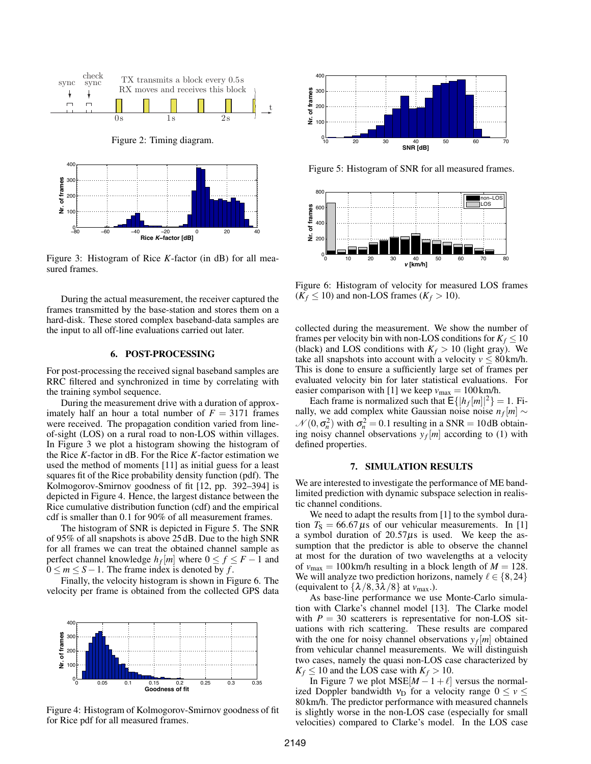

Figure 3: Histogram of Rice *K*-factor (in dB) for all measured frames.

During the actual measurement, the receiver captured the frames transmitted by the base-station and stores them on a hard-disk. These stored complex baseband-data samples are the input to all off-line evaluations carried out later.

## 6. POST-PROCESSING

For post-processing the received signal baseband samples are RRC filtered and synchronized in time by correlating with the training symbol sequence.

During the measurement drive with a duration of approximately half an hour a total number of  $F = 3171$  frames were received. The propagation condition varied from lineof-sight (LOS) on a rural road to non-LOS within villages. In Figure 3 we plot a histogram showing the histogram of the Rice *K*-factor in dB. For the Rice *K*-factor estimation we used the method of moments [11] as initial guess for a least squares fit of the Rice probability density function (pdf). The Kolmogorov-Smirnov goodness of fit [12, pp. 392–394] is depicted in Figure 4. Hence, the largest distance between the Rice cumulative distribution function (cdf) and the empirical cdf is smaller than 0.1 for 90% of all measurement frames.

The histogram of SNR is depicted in Figure 5. The SNR of 95% of all snapshots is above 25 dB. Due to the high SNR for all frames we can treat the obtained channel sample as perfect channel knowledge  $h_f[m]$  where  $0 \le f \le F - 1$  and  $0 \le m \le S - 1$ . The frame index is denoted by f.

Finally, the velocity histogram is shown in Figure 6. The velocity per frame is obtained from the collected GPS data



Figure 4: Histogram of Kolmogorov-Smirnov goodness of fit for Rice pdf for all measured frames.



Figure 5: Histogram of SNR for all measured frames.



Figure 6: Histogram of velocity for measured LOS frames  $(K_f \leq 10)$  and non-LOS frames  $(K_f > 10)$ .

collected during the measurement. We show the number of frames per velocity bin with non-LOS conditions for  $K_f \leq 10$ (black) and LOS conditions with  $K_f > 10$  (light gray). We take all snapshots into account with a velocity  $v \leq 80$  km/h. This is done to ensure a sufficiently large set of frames per evaluated velocity bin for later statistical evaluations. For easier comparison with [1] we keep  $v_{\text{max}} = 100 \text{ km/h}$ .

Each frame is normalized such that  $E\{|h_f[m]|^2\} = 1$ . Finally, we add complex white Gaussian noise noise  $n_f[m] \sim$  $\mathcal{N}(0, \sigma_n^2)$  with  $\sigma_n^2 = 0.1$  resulting in a SNR = 10 dB obtaining noisy channel observations  $y_f[m]$  according to (1) with defined properties.

## 7. SIMULATION RESULTS

We are interested to investigate the performance of ME bandlimited prediction with dynamic subspace selection in realistic channel conditions.

We need to adapt the results from [1] to the symbol duration  $T<sub>S</sub> = 66.67 \mu s$  of our vehicular measurements. In [1] a symbol duration of  $20.57\mu s$  is used. We keep the assumption that the predictor is able to observe the channel at most for the duration of two wavelengths at a velocity of  $v_{\text{max}} = 100 \text{ km/h}$  resulting in a block length of  $M = 128$ . We will analyze two prediction horizons, namely  $\ell \in \{8,24\}$ (equivalent to  $\{\lambda/8,3\lambda/8\}$  at  $v_{\text{max}}$ .).

As base-line performance we use Monte-Carlo simulation with Clarke's channel model [13]. The Clarke model with  $P = 30$  scatterers is representative for non-LOS situations with rich scattering. These results are compared with the one for noisy channel observations  $y_f[m]$  obtained from vehicular channel measurements. We will distinguish two cases, namely the quasi non-LOS case characterized by  $K_f \leq 10$  and the LOS case with  $K_f > 10$ .

In Figure 7 we plot  $MSE[M - 1 + \ell]$  versus the normalized Doppler bandwidth  $v_D$  for a velocity range  $0 \le v \le$ 80 km/h. The predictor performance with measured channels is slightly worse in the non-LOS case (especially for small velocities) compared to Clarke's model. In the LOS case